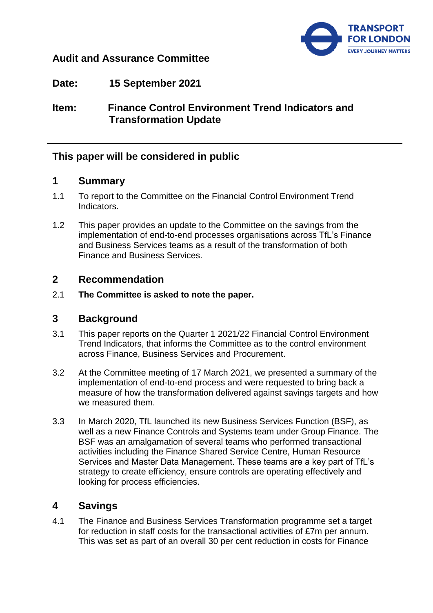

## **Audit and Assurance Committee**

**Date: 15 September 2021**

# **Item: Finance Control Environment Trend Indicators and Transformation Update**

# **This paper will be considered in public**

## **1 Summary**

- 1.1 To report to the Committee on the Financial Control Environment Trend Indicators.
- 1.2 This paper provides an update to the Committee on the savings from the implementation of end-to-end processes organisations across TfL's Finance and Business Services teams as a result of the transformation of both Finance and Business Services.

### **2 Recommendation**

2.1 **The Committee is asked to note the paper.**

### **3 Background**

- 3.1 This paper reports on the Quarter 1 2021/22 Financial Control Environment Trend Indicators, that informs the Committee as to the control environment across Finance, Business Services and Procurement.
- 3.2 At the Committee meeting of 17 March 2021, we presented a summary of the implementation of end-to-end process and were requested to bring back a measure of how the transformation delivered against savings targets and how we measured them.
- 3.3 In March 2020, TfL launched its new Business Services Function (BSF), as well as a new Finance Controls and Systems team under Group Finance. The BSF was an amalgamation of several teams who performed transactional activities including the Finance Shared Service Centre, Human Resource Services and Master Data Management. These teams are a key part of TfL's strategy to create efficiency, ensure controls are operating effectively and looking for process efficiencies.

# **4 Savings**

4.1 The Finance and Business Services Transformation programme set a target for reduction in staff costs for the transactional activities of £7m per annum. This was set as part of an overall 30 per cent reduction in costs for Finance